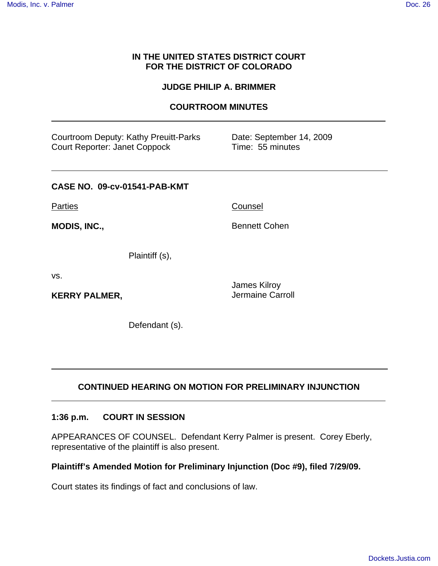## **IN THE UNITED STATES DISTRICT COURT FOR THE DISTRICT OF COLORADO**

### **JUDGE PHILIP A. BRIMMER**

### **COURTROOM MINUTES**

| Courtroom Deputy: Kathy Preuitt-Parks<br><b>Court Reporter: Janet Coppock</b> | Date: September 14, 2009<br>Time: 55 minutes |  |
|-------------------------------------------------------------------------------|----------------------------------------------|--|
| CASE NO. 09-cv-01541-PAB-KMT                                                  |                                              |  |
| Parties                                                                       | Counsel                                      |  |
| MODIS, INC.,                                                                  | <b>Bennett Cohen</b>                         |  |
| Plaintiff (s),                                                                |                                              |  |
| VS.                                                                           | James Kilroy                                 |  |

Jermaine Carroll

Defendant (s).

# **CONTINUED HEARING ON MOTION FOR PRELIMINARY INJUNCTION**

### **1:36 p.m. COURT IN SESSION**

**KERRY PALMER,**

APPEARANCES OF COUNSEL. Defendant Kerry Palmer is present. Corey Eberly, representative of the plaintiff is also present.

## **Plaintiff's Amended Motion for Preliminary Injunction (Doc #9), filed 7/29/09.**

Court states its findings of fact and conclusions of law.